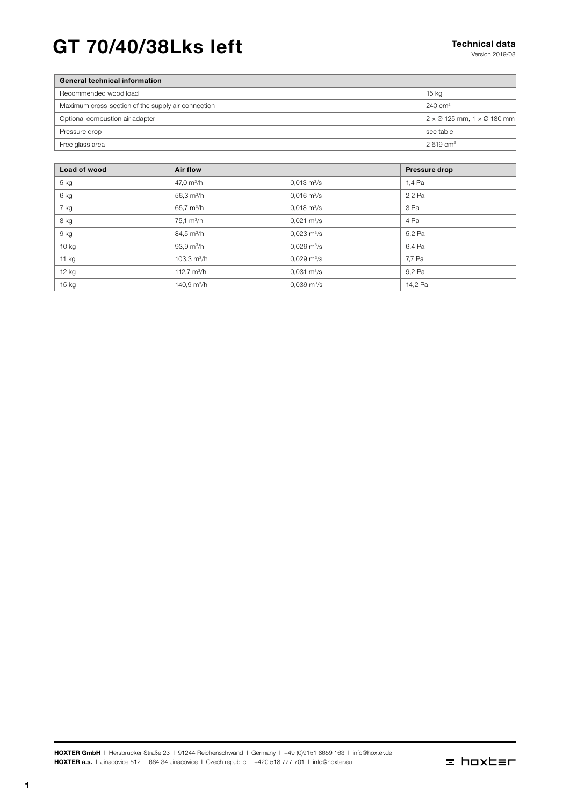# GT 70/40/38Lks left Technical data

| <b>General technical information</b>               |                                                          |
|----------------------------------------------------|----------------------------------------------------------|
| Recommended wood load                              | $15 \text{ kg}$                                          |
| Maximum cross-section of the supply air connection | $240 \text{ cm}^2$                                       |
| Optional combustion air adapter                    | $2 \times \emptyset$ 125 mm, 1 $\times \emptyset$ 180 mm |
| Pressure drop                                      | see table                                                |
| Free glass area                                    | $2.619 \text{ cm}^2$                                     |
|                                                    |                                                          |

| Load of wood | <b>Air flow</b>             |                              | Pressure drop |
|--------------|-----------------------------|------------------------------|---------------|
| 5 kg         | 47,0 $m^3/h$                | $0.013 \text{ m}^3/\text{s}$ | 1.4 Pa        |
| 6 kg         | 56,3 $\,$ m <sup>3</sup> /h | $0.016 \text{ m}^3/\text{s}$ | 2,2 Pa        |
| 7 kg         | 65,7 m <sup>3</sup> /h      | $0.018 \text{ m}^3/\text{s}$ | 3 Pa          |
| 8 kg         | $75.1 \text{ m}^3/h$        | $0.021 \text{ m}^3/\text{s}$ | 4 Pa          |
| 9 kg         | $84.5 \text{ m}^3/h$        | $0,023 \text{ m}^3/\text{s}$ | 5,2 Pa        |
| 10 kg        | $93.9 \text{ m}^3/h$        | $0.026 \text{ m}^3\text{/s}$ | 6,4 Pa        |
| 11 kg        | 103,3 $\mathrm{m}^3$ /h     | $0.029 \text{ m}^3\text{/s}$ | 7,7 Pa        |
| 12 kg        | 112,7 $m^3/h$               | $0,031 \text{ m}^3/\text{s}$ | 9,2 Pa        |
| 15 kg        | 140,9 $m^3/h$               | $0,039 \text{ m}^3/\text{s}$ | 14,2 Pa       |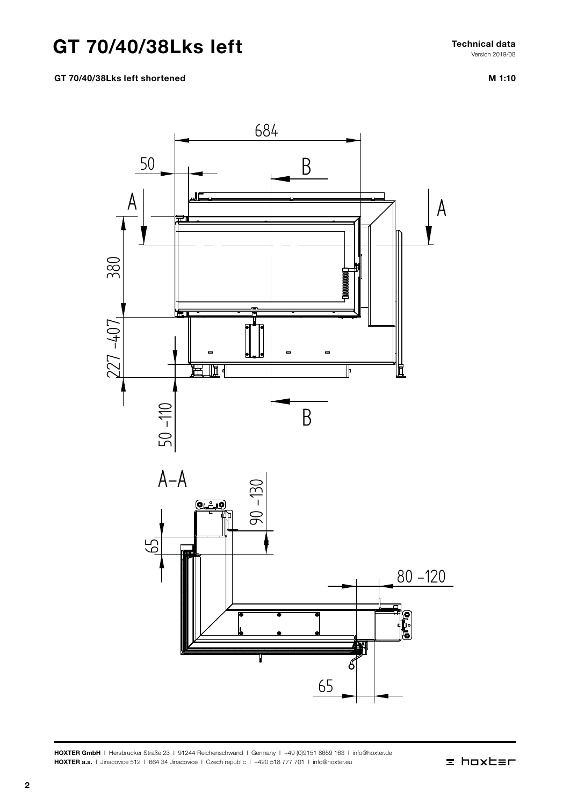# GT 70/40/38Lks left

Fechnical data<br>Norsin 2019/08 Technical data Version 2019/08

## GT 70/40/38Lks left shortened

M 1:10

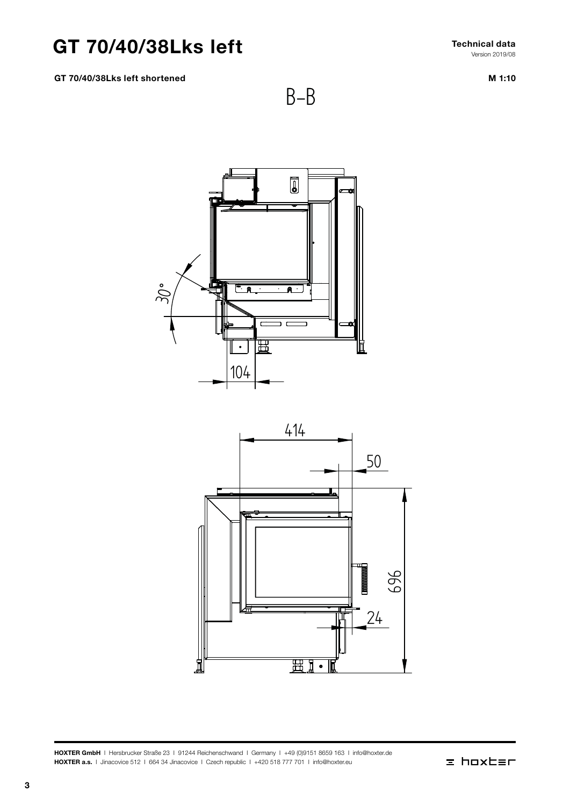## GT 70/40/38Lks left

GT 70/40/38Lks left shortened

Technical data Version 2019/08

M 1:10



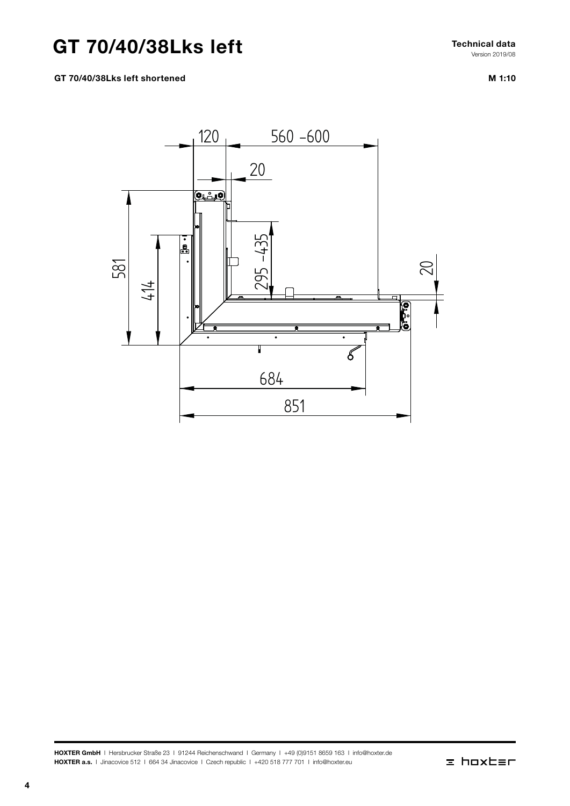# GT 70/40/38Lks left

M 1:10 Version 2019/08

Technical data

## GT 70/40/38Lks left shortened



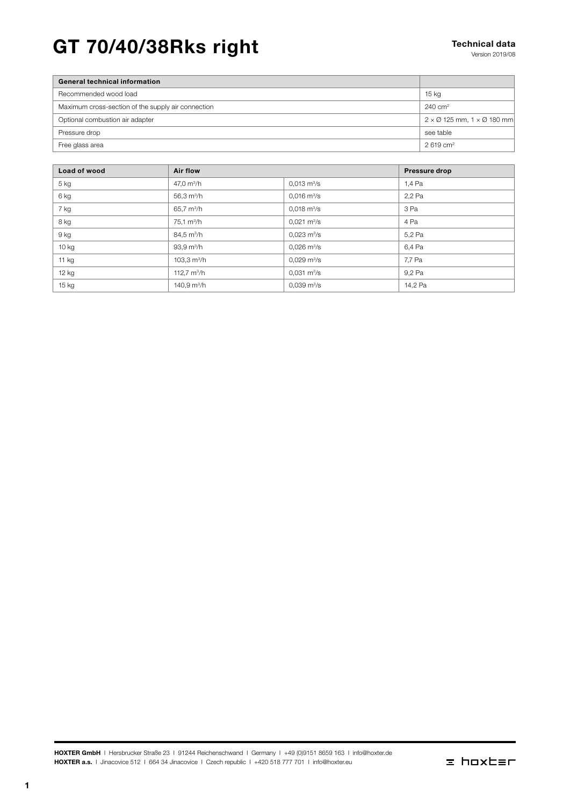# GT 70/40/38Rks right Technical data

| <b>General technical information</b>               |                                                          |
|----------------------------------------------------|----------------------------------------------------------|
| Recommended wood load                              | $15$ kg                                                  |
| Maximum cross-section of the supply air connection | $240 \text{ cm}^2$                                       |
| Optional combustion air adapter                    | $2 \times \emptyset$ 125 mm, 1 $\times \emptyset$ 180 mm |
| Pressure drop                                      | see table                                                |
| Free glass area                                    | $2619 \text{ cm}^2$                                      |
|                                                    |                                                          |

| Load of wood | Air flow                |                              | Pressure drop |
|--------------|-------------------------|------------------------------|---------------|
| 5 kg         | 47,0 $m^3/h$            | $0.013 \text{ m}^3/\text{s}$ | 1,4 Pa        |
| 6 kg         | 56,3 $m^3/h$            | $0.016 \text{ m}^3\text{/s}$ | 2,2 Pa        |
| 7 kg         | 65,7 $m^3/h$            | $0,018 \text{ m}^3/\text{s}$ | 3 Pa          |
| 8 kg         | $75.1 \text{ m}^3/h$    | $0.021 \text{ m}^3/\text{s}$ | 4 Pa          |
| 9 kg         | $84.5 \text{ m}^3/h$    | $0.023 \text{ m}^3/\text{s}$ | 5,2 Pa        |
| $10$ kg      | $93.9 \text{ m}^3/h$    | $0.026 \text{ m}^3/\text{s}$ | 6.4 Pa        |
| 11 $kg$      | 103,3 $\mathrm{m}^3$ /h | $0,029 \text{ m}^3/\text{s}$ | 7,7 Pa        |
| 12 kg        | 112.7 $m^3/h$           | $0.031 \text{ m}^3/\text{s}$ | 9.2 Pa        |
| 15 kg        | 140,9 $m^3/h$           | $0,039 \text{ m}^3/\text{s}$ | 14,2 Pa       |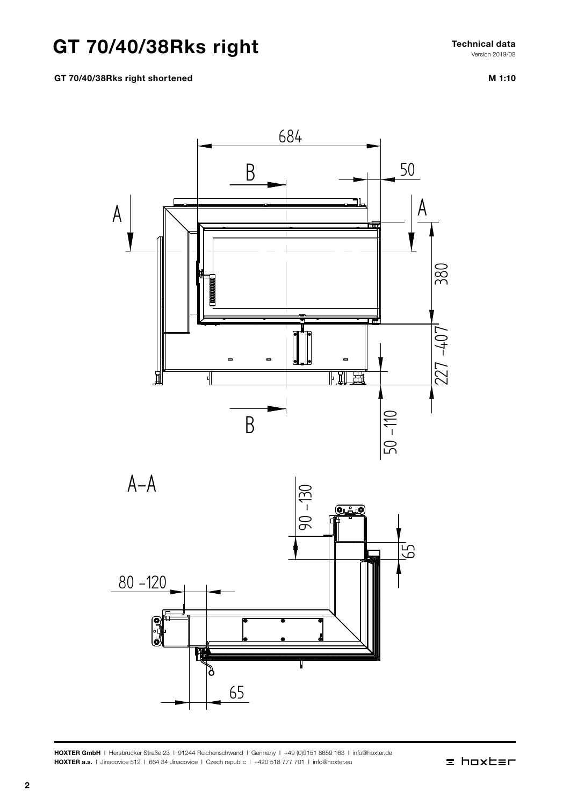# GT 70/40/38Rks right

 $\mathbf{ght}$  Technical data  $\mathbf{ght}$ Technical data Version 2019/08

## GT 70/40/38Rks right shortened

M 1:10  $M 1:10$ 



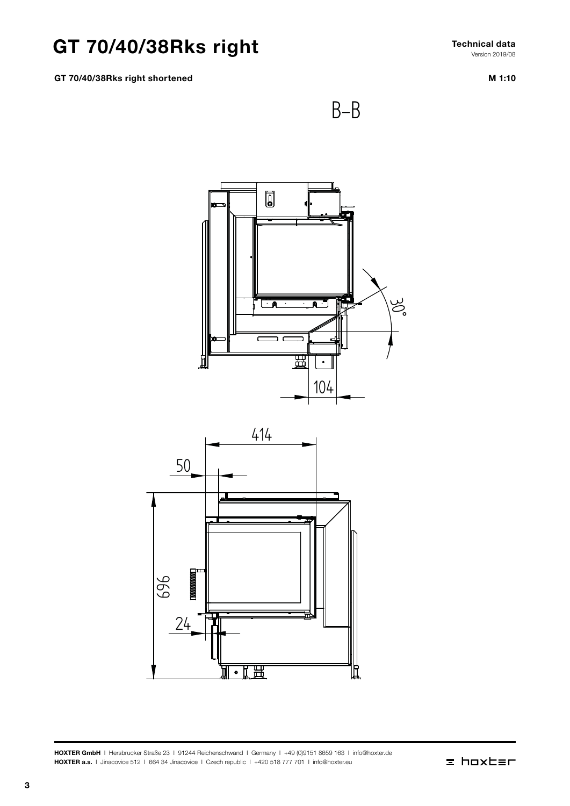# GT 70/40/38Rks right

GT 70/40/38Rks right shortened

M 1:10